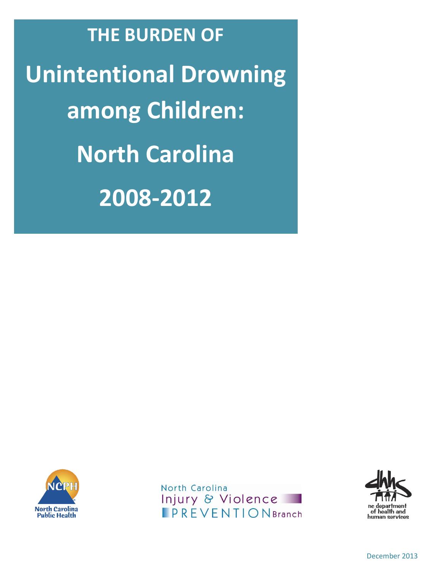**THE BURDEN OF Unintentional Drowning among Children: North Carolina 2008-2012**



North Carolina **Injury & Violence**<br>**PREVENTIONBranch** 

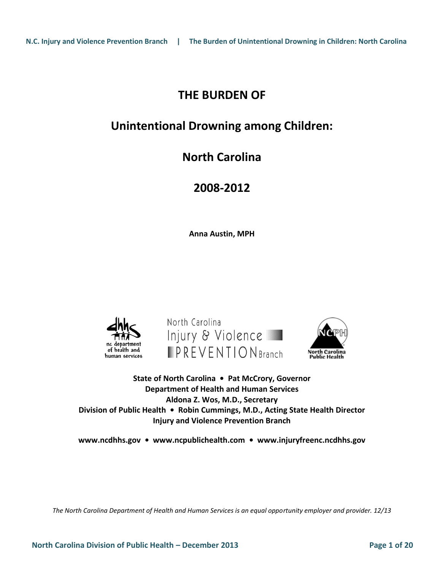## **THE BURDEN OF**

## **Unintentional Drowning among Children:**

# **North Carolina**

# **2008-2012**

**Anna Austin, MPH**







**State of North Carolina • Pat McCrory, Governor Department of Health and Human Services Aldona Z. Wos, M.D., Secretary Division of Public Health • Robin Cummings, M.D., Acting State Health Director Injury and Violence Prevention Branch**

**[www.ncdhhs.gov](http://www.ncdhhs.gov/) • [www.ncpublichealth.com](http://www.ncpublichealth.com/) • [www.injuryfreenc.ncdhhs.gov](http://www.injuryfreenc.ncdhhs.gov/)**

*The North Carolina Department of Health and Human Services is an equal opportunity employer and provider. 12/13*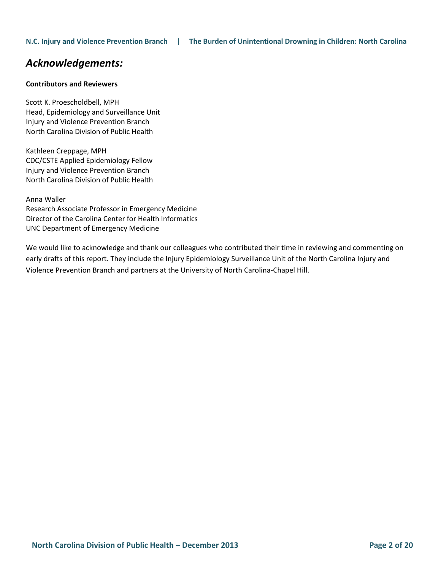## *Acknowledgements:*

#### **Contributors and Reviewers**

Scott K. Proescholdbell, MPH Head, Epidemiology and Surveillance Unit Injury and Violence Prevention Branch North Carolina Division of Public Health

Kathleen Creppage, MPH CDC/CSTE Applied Epidemiology Fellow Injury and Violence Prevention Branch North Carolina Division of Public Health

Anna Waller Research Associate Professor in Emergency Medicine Director of the Carolina Center for Health Informatics UNC Department of Emergency Medicine

We would like to acknowledge and thank our colleagues who contributed their time in reviewing and commenting on early drafts of this report. They include the Injury Epidemiology Surveillance Unit of the North Carolina Injury and Violence Prevention Branch and partners at the University of North Carolina-Chapel Hill.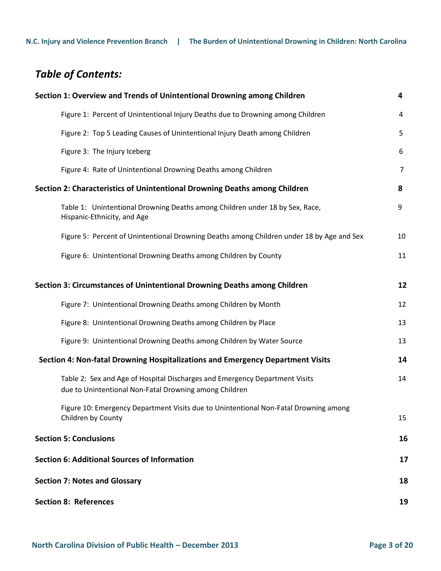# *Table of Contents:*

| Section 1: Overview and Trends of Unintentional Drowning among Children                                                               | 4              |  |  |  |  |
|---------------------------------------------------------------------------------------------------------------------------------------|----------------|--|--|--|--|
| Figure 1: Percent of Unintentional Injury Deaths due to Drowning among Children                                                       | $\overline{a}$ |  |  |  |  |
| Figure 2: Top 5 Leading Causes of Unintentional Injury Death among Children                                                           | 5              |  |  |  |  |
| Figure 3: The Injury Iceberg                                                                                                          | 6              |  |  |  |  |
| Figure 4: Rate of Unintentional Drowning Deaths among Children                                                                        | $\overline{7}$ |  |  |  |  |
| Section 2: Characteristics of Unintentional Drowning Deaths among Children                                                            |                |  |  |  |  |
| Table 1: Unintentional Drowning Deaths among Children under 18 by Sex, Race,<br>Hispanic-Ethnicity, and Age                           | 9              |  |  |  |  |
| Figure 5: Percent of Unintentional Drowning Deaths among Children under 18 by Age and Sex                                             | 10             |  |  |  |  |
| Figure 6: Unintentional Drowning Deaths among Children by County                                                                      | 11             |  |  |  |  |
| Section 3: Circumstances of Unintentional Drowning Deaths among Children                                                              | 12             |  |  |  |  |
| Figure 7: Unintentional Drowning Deaths among Children by Month                                                                       | 12             |  |  |  |  |
| Figure 8: Unintentional Drowning Deaths among Children by Place                                                                       | 13             |  |  |  |  |
| Figure 9: Unintentional Drowning Deaths among Children by Water Source                                                                | 13             |  |  |  |  |
| Section 4: Non-fatal Drowning Hospitalizations and Emergency Department Visits                                                        | 14             |  |  |  |  |
| Table 2: Sex and Age of Hospital Discharges and Emergency Department Visits<br>due to Unintentional Non-Fatal Drowning among Children | 14             |  |  |  |  |
| Figure 10: Emergency Department Visits due to Unintentional Non-Fatal Drowning among<br>Children by County                            | 15             |  |  |  |  |
| <b>Section 5: Conclusions</b>                                                                                                         | 16             |  |  |  |  |
| Section 6: Additional Sources of Information                                                                                          | 17             |  |  |  |  |
| <b>Section 7: Notes and Glossary</b>                                                                                                  | 18             |  |  |  |  |
| <b>Section 8: References</b>                                                                                                          | 19             |  |  |  |  |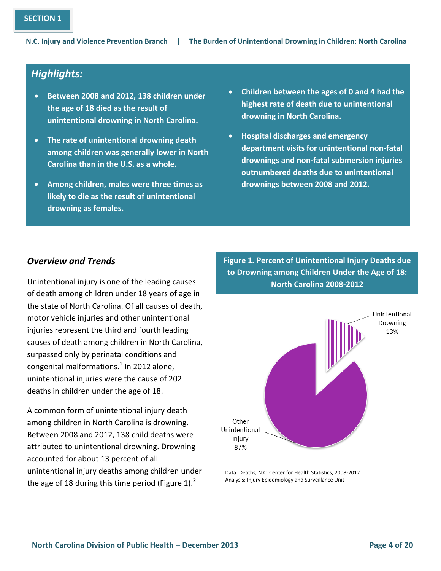## *Highlights:*

- **Between 2008 and 2012, 138 children under the age of 18 died as the result of unintentional drowning in North Carolina.**
- **The rate of unintentional drowning death among children was generally lower in North Carolina than in the U.S. as a whole.**
- **Among children, males were three times as likely to die as the result of unintentional drowning as females.**
- **Children between the ages of 0 and 4 had the highest rate of death due to unintentional drowning in North Carolina.**
- **Hospital discharges and emergency department visits for unintentional non-fatal drownings and non-fatal submersion injuries outnumbered deaths due to unintentional drownings between 2008 and 2012.**

## *Overview and Trends*

Unintentional injury is one of the leading causes of death among children under 18 years of age in the state of North Carolina. Of all causes of death, motor vehicle injuries and other unintentional injuries represent the third and fourth leading causes of death among children in North Carolina, surpassed only by perinatal conditions and congenital malformations. $^{1}$  In 2012 alone, unintentional injuries were the cause of 202 deaths in children under the age of 18.

A common form of unintentional injury death among children in North Carolina is drowning. Between 2008 and 2012, 138 child deaths were attributed to unintentional drowning. Drowning accounted for about 13 percent of all unintentional injury deaths among children under the age of 18 during this time period (Figure 1).

**Figure 1. Percent of Unintentional Injury Deaths due to Drowning among Children Under the Age of 18: North Carolina 2008-2012**



Data: Deaths, N.C. Center for Health Statistics, 2008-2012 Analysis: Injury Epidemiology and Surveillance Unit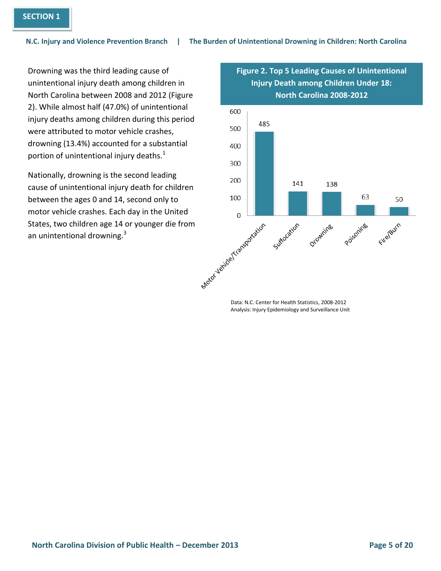Drowning was the third leading cause of unintentional injury death among children in North Carolina between 2008 and 2012 (Figure 2). While almost half (47.0%) of unintentional injury deaths among children during this period were attributed to motor vehicle crashes, drowning (13.4%) accounted for a substantial portion of unintentional injury deaths.<sup>1</sup>

Nationally, drowning is the second leading cause of unintentional injury death for children between the ages 0 and 14, second only to motor vehicle crashes. Each day in the United an unintentional drowning.<sup>3</sup>

**Figure 2. Top 5 Leading Causes of Unintentional Injury Death among Children Under 18: North Carolina 2008-2012**



**1,903**  Data: N.C. Center for Health Statistics, 2008-2012 Analysis: Injury Epidemiology and Surveillance Unit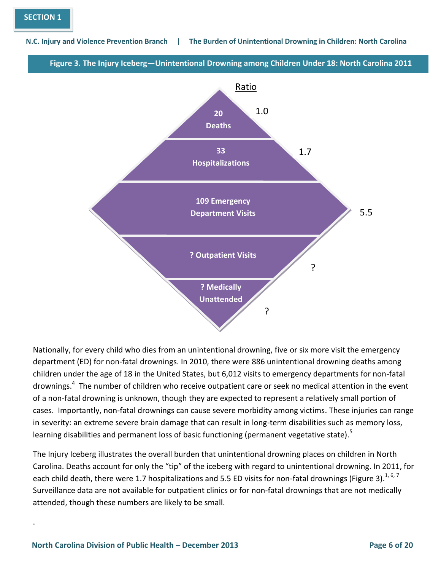**Figure 3. The Injury Iceberg—Unintentional Drowning among Children Under 18: North Carolina 2011**



Nationally, for every child who dies from an unintentional drowning, five or six more visit the emergency department (ED) for non-fatal drownings. In 2010, there were 886 unintentional drowning deaths among children under the age of 18 in the United States, but 6,012 visits to emergency departments for non-fatal drownings.<sup>4</sup> The number of children who receive outpatient care or seek no medical attention in the event of a non-fatal drowning is unknown, though they are expected to represent a relatively small portion of cases. Importantly, non-fatal drownings can cause severe morbidity among victims. These injuries can range in severity: an extreme severe brain damage that can result in long-term disabilities such as memory loss, learning disabilities and permanent loss of basic functioning (permanent vegetative state).<sup>5</sup>

The Injury Iceberg illustrates the overall burden that unintentional drowning places on children in North Carolina. Deaths account for only the "tip" of the iceberg with regard to unintentional drowning. In 2011, for each child death, there were 1.7 hospitalizations and 5.5 ED visits for non-fatal drownings (Figure 3).<sup>1, 6, 7</sup> Surveillance data are not available for outpatient clinics or for non-fatal drownings that are not medically attended, though these numbers are likely to be small.

.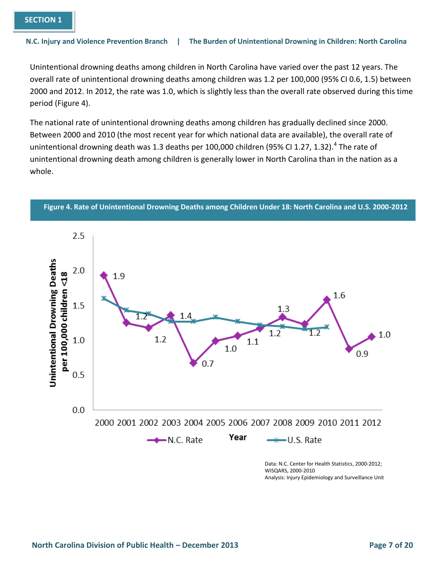Unintentional drowning deaths among children in North Carolina have varied over the past 12 years. The overall rate of unintentional drowning deaths among children was 1.2 per 100,000 (95% CI 0.6, 1.5) between 2000 and 2012. In 2012, the rate was 1.0, which is slightly less than the overall rate observed during this time period (Figure 4).

The national rate of unintentional drowning deaths among children has gradually declined since 2000. Between 2000 and 2010 (the most recent year for which national data are available), the overall rate of unintentional drowning death was 1.3 deaths per 100,000 children (95% CI 1.27, 1.32).<sup>4</sup> The rate of unintentional drowning death among children is generally lower in North Carolina than in the nation as a whole.



**Figure 4. Rate of Unintentional Drowning Deaths among Children Under 18: North Carolina and U.S. 2000-2012** 

WISQARS, 2000-2010 Analysis: Injury Epidemiology and Surveillance Unit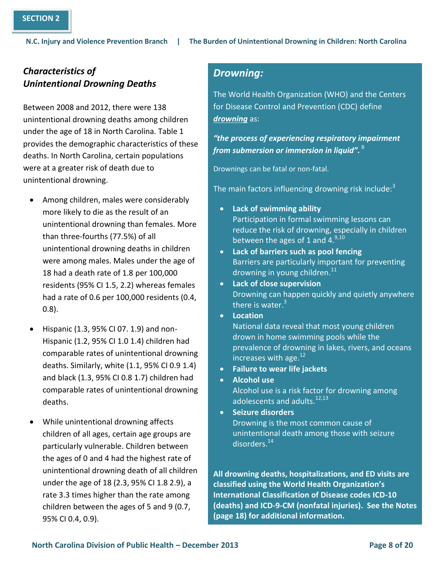## *Characteristics of Unintentional Drowning Deaths*

Between 2008 and 2012, there were 138 unintentional drowning deaths among children under the age of 18 in North Carolina. Table 1 provides the demographic characteristics of these deaths. In North Carolina, certain populations were at a greater risk of death due to unintentional drowning.

- Among children, males were considerably more likely to die as the result of an unintentional drowning than females. More than three-fourths (77.5%) of all unintentional drowning deaths in children were among males. Males under the age of 18 had a death rate of 1.8 per 100,000 residents (95% CI 1.5, 2.2) whereas females had a rate of 0.6 per 100,000 residents (0.4, 0.8).
- Hispanic (1.3, 95% CI 07. 1.9) and non-Hispanic (1.2, 95% CI 1.0 1.4) children had comparable rates of unintentional drowning deaths. Similarly, white (1.1, 95% CI 0.9 1.4) and black (1.3, 95% CI 0.8 1.7) children had comparable rates of unintentional drowning deaths.
- the ages of 0 and 4 had the highest rate of While unintentional drowning affects children of all ages, certain age groups are particularly vulnerable. Children between unintentional drowning death of all children under the age of 18 (2.3, 95% CI 1.8 2.9), a rate 3.3 times higher than the rate among children between the ages of 5 and 9 (0.7, 95% CI 0.4, 0.9).

## *Drowning:*

The World Health Organization (WHO) and the Centers for Disease Control and Prevention (CDC) define *drowning* as:

## *"the process of experiencing respiratory impairment from submersion or immersion in liquid".* <sup>8</sup>

Drownings can be fatal or non-fatal.

The main factors influencing drowning risk include:<sup>3</sup>

- **Lack of swimming ability** Participation in formal swimming lessons can reduce the risk of drowning, especially in children between the ages of 1 and  $4.9,10$
- **Lack of barriers such as pool fencing** Barriers are particularly important for preventing drowning in young children.<sup>11</sup>
- **Lack of close supervision** Drowning can happen quickly and quietly anywhere there is water. $3$
- **Location**
	- National data reveal that most young children drown in home swimming pools while the prevalence of drowning in lakes, rivers, and oceans increases with age.<sup>12</sup>
- **Failure to wear life jackets**
- **Alcohol use**
	- Alcohol use is a risk factor for drowning among adolescents and adults.<sup>12,13</sup>
- **Seizure disorders** Drowning is the most common cause of unintentional death among those with seizure disorders.<sup>14</sup>

**All drowning deaths, hospitalizations, and ED visits are classified using the World Health Organization's International Classification of Disease codes ICD-10 (deaths) and ICD-9-CM (nonfatal injuries). See the Notes (page 18) for additional information.**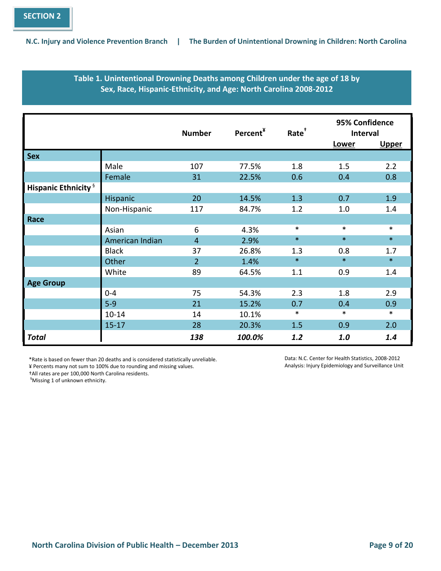### **Table 1. Unintentional Drowning Deaths among Children under the age of 18 by Sex, Race, Hispanic-Ethnicity, and Age: North Carolina 2008-2012**

|                                        |                 | <b>Number</b>  | Percent <sup>¥</sup> | Rate <sup>+</sup> | 95% Confidence<br>Interval |              |
|----------------------------------------|-----------------|----------------|----------------------|-------------------|----------------------------|--------------|
|                                        |                 |                |                      |                   | Lower                      | <b>Upper</b> |
| <b>Sex</b>                             |                 |                |                      |                   |                            |              |
|                                        | Male            | 107            | 77.5%                | 1.8               | 1.5                        | 2.2          |
|                                        | Female          | 31             | 22.5%                | 0.6               | 0.4                        | 0.8          |
| <b>Hispanic Ethnicity</b> <sup>§</sup> |                 |                |                      |                   |                            |              |
|                                        | Hispanic        | 20             | 14.5%                | 1.3               | 0.7                        | 1.9          |
|                                        | Non-Hispanic    | 117            | 84.7%                | 1.2               | 1.0                        | 1.4          |
| Race                                   |                 |                |                      |                   |                            |              |
|                                        | Asian           | 6              | 4.3%                 | $\ast$            | $\ast$                     | $\ast$       |
|                                        | American Indian | $\overline{4}$ | 2.9%                 | $\ast$            | $\ast$                     | $\ast$       |
|                                        | <b>Black</b>    | 37             | 26.8%                | 1.3               | 0.8                        | 1.7          |
|                                        | Other           | $\overline{2}$ | 1.4%                 | $\ast$            | $\ast$                     | $\ast$       |
|                                        | White           | 89             | 64.5%                | 1.1               | 0.9                        | 1.4          |
| <b>Age Group</b>                       |                 |                |                      |                   |                            |              |
|                                        | $0 - 4$         | 75             | 54.3%                | 2.3               | 1.8                        | 2.9          |
|                                        | $5 - 9$         | 21             | 15.2%                | 0.7               | 0.4                        | 0.9          |
|                                        | $10 - 14$       | 14             | 10.1%                | $\ast$            | $\ast$                     | $\ast$       |
|                                        | $15 - 17$       | 28             | 20.3%                | 1.5               | 0.9                        | 2.0          |
| <b>Total</b>                           |                 | 138            | 100.0%               | 1.2               | 1.0                        | 1.4          |

\*Rate is based on fewer than 20 deaths and is considered statistically unreliable.

¥ Percents many not sum to 100% due to rounding and missing values.

†All rates are per 100,000 North Carolina residents.

<sup>§</sup>Missing 1 of unknown ethnicity.

Data: N.C. Center for Health Statistics, 2008-2012 Analysis: Injury Epidemiology and Surveillance Unit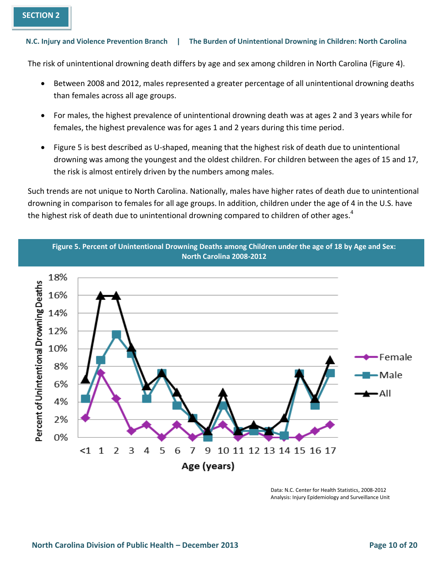The risk of unintentional drowning death differs by age and sex among children in North Carolina (Figure 4).

- Between 2008 and 2012, males represented a greater percentage of all unintentional drowning deaths than females across all age groups.
- For males, the highest prevalence of unintentional drowning death was at ages 2 and 3 years while for females, the highest prevalence was for ages 1 and 2 years during this time period.
- Figure 5 is best described as U-shaped, meaning that the highest risk of death due to unintentional drowning was among the youngest and the oldest children. For children between the ages of 15 and 17, the risk is almost entirely driven by the numbers among males.

Such trends are not unique to North Carolina. Nationally, males have higher rates of death due to unintentional drowning in comparison to females for all age groups. In addition, children under the age of 4 in the U.S. have the highest risk of death due to unintentional drowning compared to children of other ages.<sup>4</sup>



Data: N.C. Center for Health Statistics, 2008-2012 Analysis: Injury Epidemiology and Surveillance Unit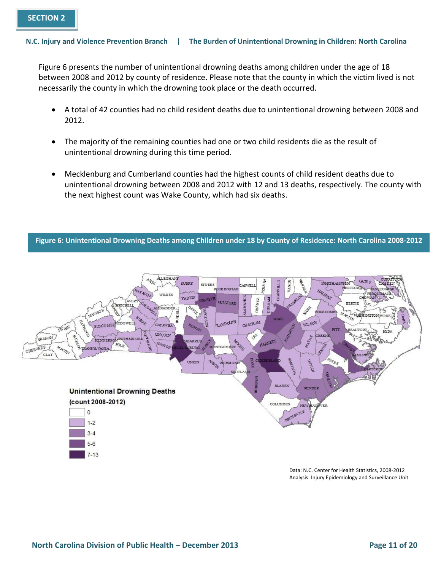Figure 6 presents the number of unintentional drowning deaths among children under the age of 18 between 2008 and 2012 by county of residence. Please note that the county in which the victim lived is not necessarily the county in which the drowning took place or the death occurred.

- A total of 42 counties had no child resident deaths due to unintentional drowning between 2008 and 2012.
- The majority of the remaining counties had one or two child residents die as the result of unintentional drowning during this time period.
- Mecklenburg and Cumberland counties had the highest counts of child resident deaths due to unintentional drowning between 2008 and 2012 with 12 and 13 deaths, respectively. The county with the next highest count was Wake County, which had six deaths.

**Figure 6: Unintentional Drowning Deaths among Children under 18 by County of Residence: North Carolina 2008-2012**



Data: N.C. Center for Health Statistics, 2008-2012 Analysis: Injury Epidemiology and Surveillance Unit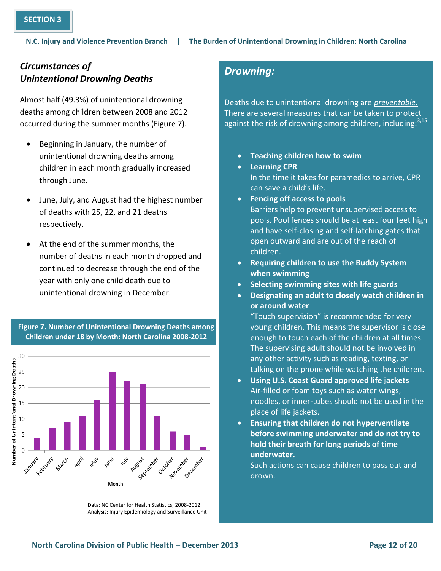## *Circumstances of Unintentional Drowning Deaths*

Almost half (49.3%) of unintentional drowning deaths among children between 2008 and 2012 occurred during the summer months (Figure 7).

- Beginning in January, the number of unintentional drowning deaths among children in each month gradually increased through June.
- June, July, and August had the highest number of deaths with 25, 22, and 21 deaths respectively.
- At the end of the summer months, the number of deaths in each month dropped and continued to decrease through the end of the year with only one child death due to unintentional drowning in December.



#### **Figure 7. Number of Unintentional Drowning Deaths among Children under 18 by Month: North Carolina 2008-2012**

## *Drowning:*

Deaths due to unintentional drowning are *preventable.*  There are several measures that can be taken to protect against the risk of drowning among children, including:<sup>3,15</sup>

- **Teaching children how to swim**
- **Learning CPR** In the time it takes for paramedics to arrive, CPR can save a child's life. **Fencing off access to pools**
- Barriers help to prevent unsupervised access to pools. Pool fences should be at least four feet high and have self-closing and self-latching gates that open outward and are out of the reach of children.
- **Requiring children to use the Buddy System when swimming**
- **Selecting swimming sites with life guards**
- **Designating an adult to closely watch children in or around water**

"Touch supervision" is recommended for very young children. This means the supervisor is close enough to touch each of the children at all times. The supervising adult should not be involved in any other activity such as reading, texting, or talking on the phone while watching the children.

- **Using U.S. Coast Guard approved life jackets** Air-filled or foam toys such as water wings, noodles, or inner-tubes should not be used in the place of life jackets.
- **Ensuring that children do not hyperventilate before swimming underwater and do not try to hold their breath for long periods of time underwater.**

Such actions can cause children to pass out and drown.

Data: NC Center for Health Statistics, 2008-2012 Analysis: Injury Epidemiology and Surveillance Unit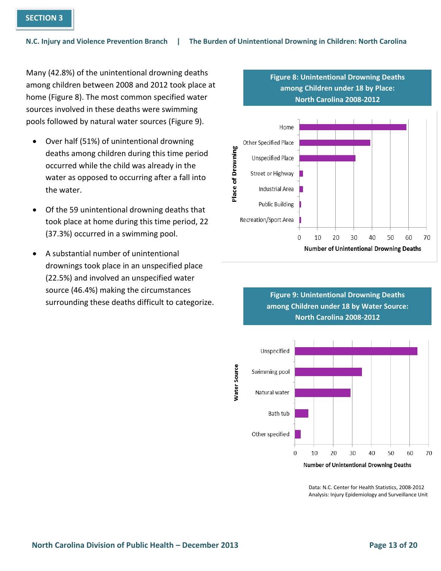Many (42.8%) of the unintentional drowning deaths among children between 2008 and 2012 took place at home (Figure 8). The most common specified water sources involved in these deaths were swimming pools followed by natural water sources (Figure 9).

- Over half (51%) of unintentional drowning deaths among children during this time period occurred while the child was already in the water as opposed to occurring after a fall into the water.
- Of the 59 unintentional drowning deaths that took place at home during this time period, 22 (37.3%) occurred in a swimming pool.
- A substantial number of unintentional drownings took place in an unspecified place (22.5%) and involved an unspecified water source (46.4%) making the circumstances surrounding these deaths difficult to categorize.

### **among Children under 18 by Place: North Carolina 2008-2012** Home Other Specified Place Place of Drowning Unspecified Place Street or Highway **Industrial Area Public Building** Recreation/Sport Area  $\overline{0}$ 10 20 30 40 50 60 70 **Number of Unintentional Drowning Deaths**

**Figure 8: Unintentional Drowning Deaths** 





Data: N.C. Center for Health Statistics, 2008-2012 Analysis: Injury Epidemiology and Surveillance Unit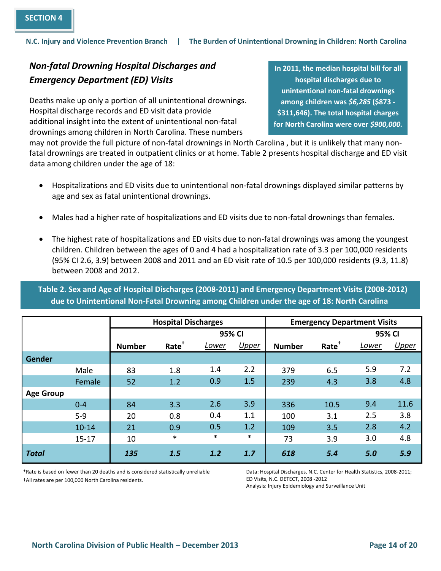## *Non-fatal Drowning Hospital Discharges and Emergency Department (ED) Visits*

Deaths make up only a portion of all unintentional drownings. Hospital discharge records and ED visit data provide additional insight into the extent of unintentional non-fatal drownings among children in North Carolina. These numbers

**In 2011, the median hospital bill for all hospital discharges due to unintentional non-fatal drownings among children was** *\$6,285* **(\$873 - \$311,646). The total hospital charges for North Carolina were over** *\$900,000.*

may not provide the full picture of non-fatal drownings in North Carolina , but it is unlikely that many nonfatal drownings are treated in outpatient clinics or at home. Table 2 presents hospital discharge and ED visit data among children under the age of 18:

- Hospitalizations and ED visits due to unintentional non-fatal drownings displayed similar patterns by age and sex as fatal unintentional drownings.
- Males had a higher rate of hospitalizations and ED visits due to non-fatal drownings than females.
- The highest rate of hospitalizations and ED visits due to non-fatal drownings was among the youngest children. Children between the ages of 0 and 4 had a hospitalization rate of 3.3 per 100,000 residents (95% CI 2.6, 3.9) between 2008 and 2011 and an ED visit rate of 10.5 per 100,000 residents (9.3, 11.8) between 2008 and 2012.

**Table 2. Sex and Age of Hospital Discharges (2008-2011) and Emergency Department Visits (2008-2012) due to Unintentional Non-Fatal Drowning among Children under the age of 18: North Carolina** 

|                  |           | <b>Hospital Discharges</b> |                   |        |              | <b>Emergency Department Visits</b> |                   |       |              |
|------------------|-----------|----------------------------|-------------------|--------|--------------|------------------------------------|-------------------|-------|--------------|
|                  |           |                            | 95% CI            |        |              |                                    | 95% CI            |       |              |
|                  |           | <b>Number</b>              | Rate <sup>+</sup> | Lower  | <b>Upper</b> | <b>Number</b>                      | Rate <sup>+</sup> | Lower | <b>Upper</b> |
| Gender           |           |                            |                   |        |              |                                    |                   |       |              |
|                  | Male      | 83                         | 1.8               | 1.4    | 2.2          | 379                                | 6.5               | 5.9   | 7.2          |
|                  | Female    | 52                         | 1.2               | 0.9    | 1.5          | 239                                | 4.3               | 3.8   | 4.8          |
| <b>Age Group</b> |           |                            |                   |        |              |                                    |                   |       |              |
|                  | $0 - 4$   | 84                         | 3.3               | 2.6    | 3.9          | 336                                | 10.5              | 9.4   | 11.6         |
|                  | $5-9$     | 20                         | 0.8               | 0.4    | 1.1          | 100                                | 3.1               | 2.5   | 3.8          |
|                  | $10 - 14$ | 21                         | 0.9               | 0.5    | 1.2          | 109                                | 3.5               | 2.8   | 4.2          |
|                  | $15 - 17$ | 10                         | $\ast$            | $\ast$ | $\ast$       | 73                                 | 3.9               | 3.0   | 4.8          |
| <b>Total</b>     |           | 135                        | 1.5               | 1.2    | 1.7          | 618                                | 5.4               | 5.0   | 5.9          |

\*Rate is based on fewer than 20 deaths and is considered statistically unreliable †All rates are per 100,000 North Carolina residents.

Data: Hospital Discharges, N.C. Center for Health Statistics, 2008-2011; ED Visits, N.C. DETECT, 2008 -2012

Analysis: Injury Epidemiology and Surveillance Unit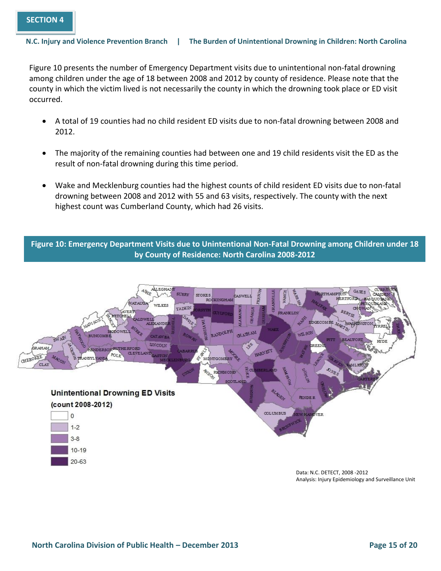Figure 10 presents the number of Emergency Department visits due to unintentional non-fatal drowning among children under the age of 18 between 2008 and 2012 by county of residence. Please note that the county in which the victim lived is not necessarily the county in which the drowning took place or ED visit occurred.

- A total of 19 counties had no child resident ED visits due to non-fatal drowning between 2008 and 2012.
- The majority of the remaining counties had between one and 19 child residents visit the ED as the result of non-fatal drowning during this time period.
- Wake and Mecklenburg counties had the highest counts of child resident ED visits due to non-fatal drowning between 2008 and 2012 with 55 and 63 visits, respectively. The county with the next highest count was Cumberland County, which had 26 visits.

**Figure 10: Emergency Department Visits due to Unintentional Non-Fatal Drowning among Children under 18 by County of Residence: North Carolina 2008-2012**



 $20 - 63$ 

Data: N.C. DETECT, 2008 -2012 Analysis: Injury Epidemiology and Surveillance Unit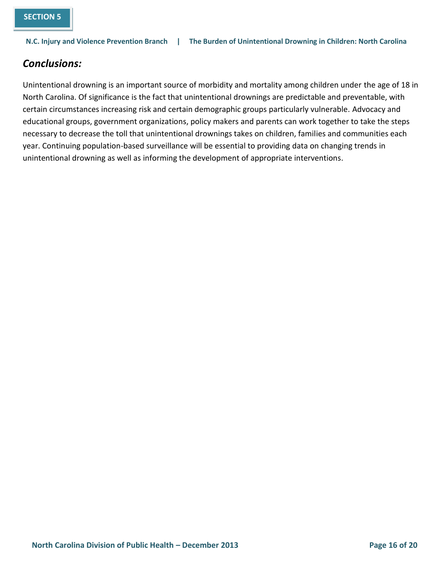## *Conclusions:*

Unintentional drowning is an important source of morbidity and mortality among children under the age of 18 in North Carolina. Of significance is the fact that unintentional drownings are predictable and preventable, with certain circumstances increasing risk and certain demographic groups particularly vulnerable. Advocacy and educational groups, government organizations, policy makers and parents can work together to take the steps necessary to decrease the toll that unintentional drownings takes on children, families and communities each year. Continuing population-based surveillance will be essential to providing data on changing trends in unintentional drowning as well as informing the development of appropriate interventions.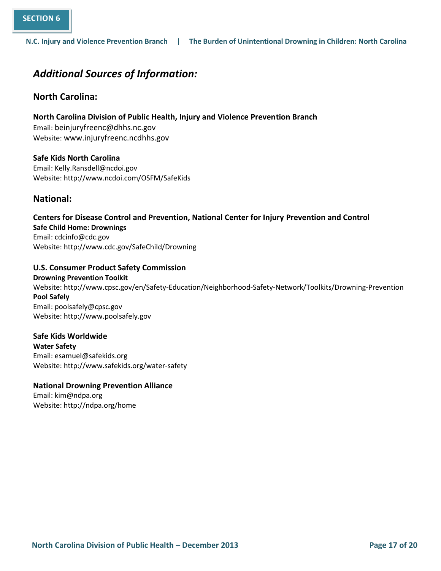## *Additional Sources of Information:*

### **North Carolina:**

**North Carolina Division of Public Health, Injury and Violence Prevention Branch** 

Email: [beinjuryfreenc@dhhs.nc.gov](mailto:beinjuryfreenc@dhhs.nc.gov) Website: [www.injuryfreenc.ncdhhs.gov](http://www.injuryfreenc.ncdhhs.gov/)

**Safe Kids North Carolina** Email: Kelly.Ransdell@ncdoi.gov Website: http://www.ncdoi.com/OSFM/SafeKids

### **National:**

**Centers for Disease Control and Prevention, National Center for Injury Prevention and Control Safe Child Home: Drownings** Email: [cdcinfo@cdc.gov](mailto:cdcinfo@cdc.gov) Website: http://www.cdc.gov/SafeChild/Drowning

**U.S. Consumer Product Safety Commission Drowning Prevention Toolkit** Website: http://www.cpsc.gov/en/Safety-Education/Neighborhood-Safety-Network/Toolkits/Drowning-Prevention **Pool Safely** Email: poolsafely@cpsc.gov Website: http://www.poolsafely.gov

**Safe Kids Worldwide Water Safety**  Email: esamuel@safekids.org Website: http://www.safekids.org/water-safety

### **National Drowning Prevention Alliance**

Email: kim@ndpa.org Website: http://ndpa.org/home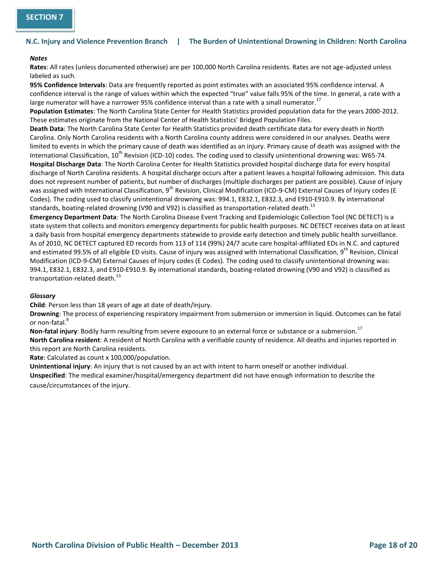#### *Notes*

**Rates**: All rates (unless documented otherwise) are per 100,000 North Carolina residents. Rates are not age-adjusted unless labeled as such.

**95% Confidence Intervals**: Data are frequently reported as point estimates with an associated 95% confidence interval. A confidence interval is the range of values within which the expected "true" value falls 95% of the time. In general, a rate with a large numerator will have a narrower 95% confidence interval than a rate with a small numerator.<sup>17</sup>

**Population Estimates**: The North Carolina State Center for Health Statistics provided population data for the years 2000-2012. These estimates originate from the National Center of Health Statistics' Bridged Population Files.

**Death Data**: The North Carolina State Center for Health Statistics provided death certificate data for every death in North Carolina. Only North Carolina residents with a North Carolina county address were considered in our analyses. Deaths were limited to events in which the primary cause of death was identified as an injury. Primary cause of death was assigned with the International Classification,  $10^{th}$  Revision (ICD-10) codes. The coding used to classify unintentional drowning was: W65-74. **Hospital Discharge Data**: The North Carolina Center for Health Statistics provided hospital discharge data for every hospital discharge of North Carolina residents. A hospital discharge occurs after a patient leaves a hospital following admission. This data does not represent number of patients, but number of discharges (multiple discharges per patient are possible). Cause of injury was assigned with International Classification, 9<sup>th</sup> Revision, Clinical Modification (ICD-9-CM) External Causes of Injury codes (E Codes). The coding used to classify unintentional drowning was: 994.1, E832.1, E832.3, and E910-E910.9. By international standards, boating-related drowning (V90 and V92) is classified as transportation-related death.<sup>13</sup>

**Emergency Department Data**: The North Carolina Disease Event Tracking and Epidemiologic Collection Tool (NC DETECT) is a state system that collects and monitors emergency departments for public health purposes. NC DETECT receives data on at least a daily basis from hospital emergency departments statewide to provide early detection and timely public health surveillance. As of 2010, NC DETECT captured ED records from 113 of 114 (99%) 24/7 acute care hospital-affiliated EDs in N.C. and captured and estimated 99.5% of all eligible ED visits. Cause of injury was assigned with International Classification, 9<sup>th</sup> Revision, Clinical Modification (ICD-9-CM) External Causes of Injury codes (E Codes). The coding used to classify unintentional drowning was: 994.1, E832.1, E832.3, and E910-E910.9. By international standards, boating-related drowning (V90 and V92) is classified as transportation-related death. $^{13}$ 

#### *Glossary*

**Child**: Person less than 18 years of age at date of death/injury.

**Drowning**: The process of experiencing respiratory impairment from submersion or immersion in liquid. Outcomes can be fatal or non-fatal.<sup>8</sup>

Non-fatal injury: Bodily harm resulting from severe exposure to an external force or substance or a submersion.<sup>17</sup>

**North Carolina resident**: A resident of North Carolina with a verifiable county of residence. All deaths and injuries reported in this report are North Carolina residents.

**Rate**: Calculated as count x 100,000/population.

**Unintentional injury**: An injury that is not caused by an act with intent to harm oneself or another individual.

**Unspecified**: The medical examiner/hospital/emergency department did not have enough information to describe the cause/circumstances of the injury.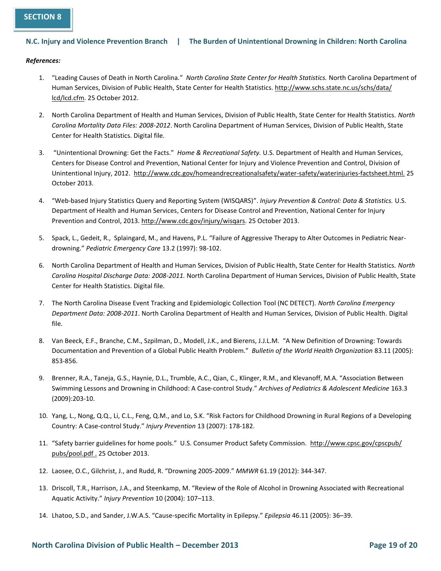#### *References:*

- 1. "Leading Causes of Death in North Carolina*.*" *North Carolina State Center for Health Statistics.* North Carolina Department of Human Services, Division of Public Health, State Center for Health Statistics. http://www.schs.state.nc.us/schs/data/ lcd/lcd.cfm. 25 October 2012.
- 2. North Carolina Department of Health and Human Services, Division of Public Health, State Center for Health Statistics. *North Carolina Mortality Data Files: 2008-2012*. North Carolina Department of Human Services, Division of Public Health, State Center for Health Statistics. Digital file.
- 3. "Unintentional Drowning: Get the Facts." *Home & Recreational Safety.* U.S. Department of Health and Human Services, Centers for Disease Control and Prevention, National Center for Injury and Violence Prevention and Control, Division of Unintentional Injury, 2012. http://www.cdc.gov/homeandrecreationalsafety/water-safety/waterinjuries-factsheet.html. 25 October 2013.
- 4. "Web-based Injury Statistics Query and Reporting System (WISQARS)". *Injury Prevention & Control: Data & Statistics.* U.S. Department of Health and Human Services, Centers for Disease Control and Prevention, National Center for Injury Prevention and Control, 2013[. http://www.cdc.gov/injury/wisqars.](http://www.cdc.gov/injury/wisqars) 25 October 2013.
- 5. Spack, L., Gedeit, R., Splaingard, M., and Havens, P.L. "Failure of Aggressive Therapy to Alter Outcomes in Pediatric Neardrowning." *Pediatric Emergency Care* 13.2 (1997): 98-102.
- 6. North Carolina Department of Health and Human Services, Division of Public Health, State Center for Health Statistics. *North Carolina Hospital Discharge Data: 2008-2011.* North Carolina Department of Human Services, Division of Public Health, State Center for Health Statistics. Digital file.
- 7. The North Carolina Disease Event Tracking and Epidemiologic Collection Tool (NC DETECT). *North Carolina Emergency Department Data: 2008-2011*. North Carolina Department of Health and Human Services, Division of Public Health. Digital file.
- 8. Van Beeck, E.F., Branche, C.M., Szpilman, D., Modell, J.K., and Bierens, J.J.L.M. "A New Definition of Drowning: Towards Documentation and Prevention of a Global Public Health Problem." *Bulletin of the World Health Organization* 83.11 (2005): 853-856.
- 9. Brenner, R.A., Taneja, G.S., Haynie, D.L., Trumble, A.C., Qian, C., Klinger, R.M., and Klevanoff, M.A. "Association Between Swimming Lessons and Drowning in Childhood: A Case-control Study." *Archives of Pediatrics & Adolescent Medicine* 163.3 (2009):203-10.
- 10. Yang, L., Nong, Q.Q., Li, C.L., Feng, Q.M., and Lo, S.K. "Risk Factors for Childhood Drowning in Rural Regions of a Developing Country: A Case-control Study." *Injury Prevention* 13 (2007): 178-182.
- 11. "Safety barrier guidelines for home pools." U.S. Consumer Product Safety Commission. http://www.cpsc.gov/cpscpub/ pubs/pool.pdf . 25 October 2013.
- 12. Laosee, O.C., Gilchrist, J., and Rudd, R. "[Drowning 2005-2009.](http://www.cdc.gov/mmwr/preview/mmwrhtml/mm6119a4.htm)" *MMWR* 61.19 (2012): 344-347.
- 13. Driscoll, T.R., Harrison, J.A., and Steenkamp, M. "Review of the Role of Alcohol in Drowning Associated with Recreational Aquatic Activity." *Injury Prevention* 10 (2004): 107–113.
- 14. Lhatoo, S.D., and Sander, J.W.A.S. "Cause-specific Mortality in Epilepsy." *Epilepsia* 46.11 (2005): 36–39.